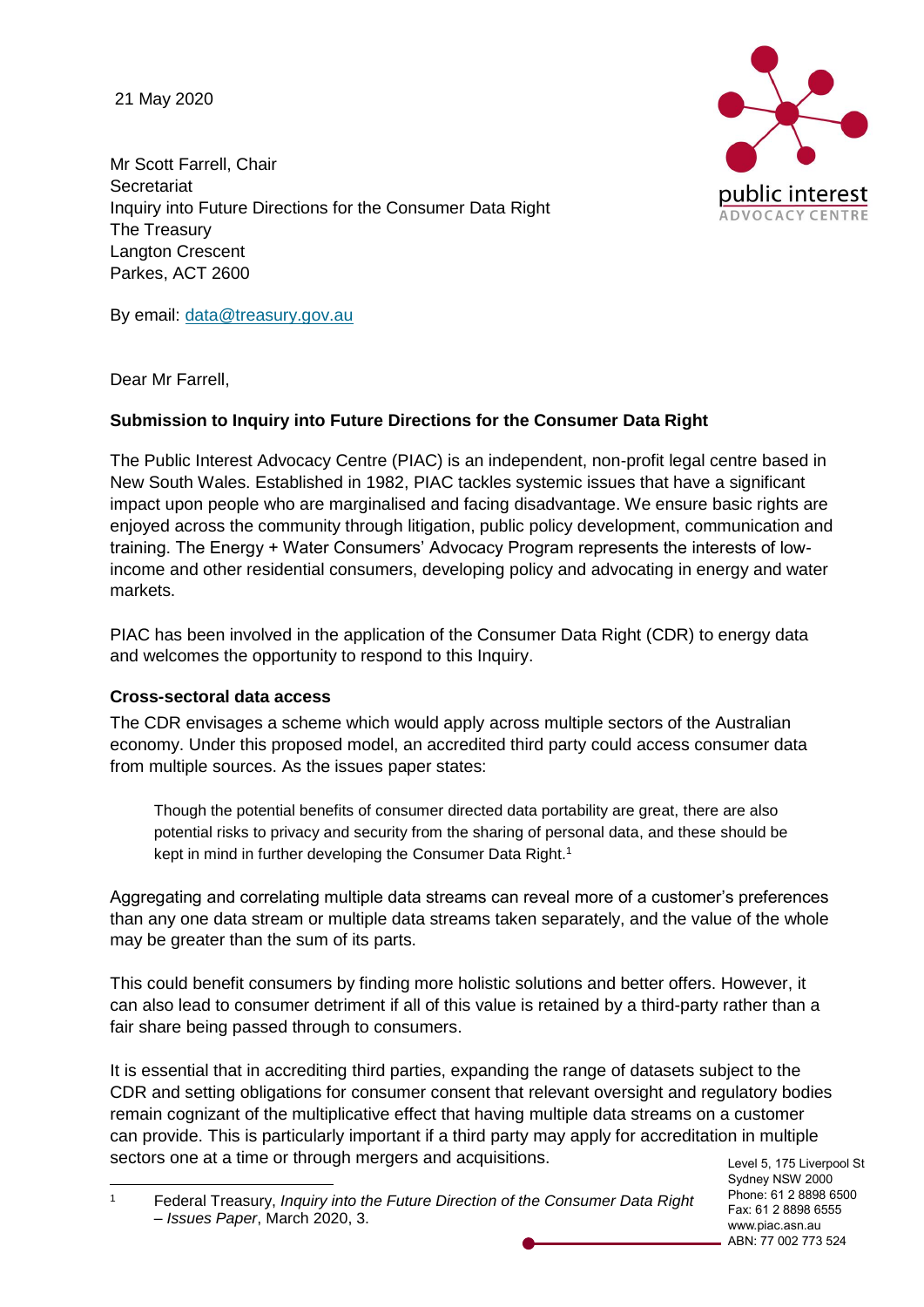21 May 2020



Mr Scott Farrell, Chair **Secretariat** Inquiry into Future Directions for the Consumer Data Right The Treasury Langton Crescent Parkes, ACT 2600

By email: [data@treasury.gov.au](mailto:data@treasury.gov.au)

Dear Mr Farrell,

## **Submission to Inquiry into Future Directions for the Consumer Data Right**

The Public Interest Advocacy Centre (PIAC) is an independent, non-profit legal centre based in New South Wales. Established in 1982, PIAC tackles systemic issues that have a significant impact upon people who are marginalised and facing disadvantage. We ensure basic rights are enjoyed across the community through litigation, public policy development, communication and training. The Energy + Water Consumers' Advocacy Program represents the interests of lowincome and other residential consumers, developing policy and advocating in energy and water markets.

PIAC has been involved in the application of the Consumer Data Right (CDR) to energy data and welcomes the opportunity to respond to this Inquiry.

### **Cross-sectoral data access**

The CDR envisages a scheme which would apply across multiple sectors of the Australian economy. Under this proposed model, an accredited third party could access consumer data from multiple sources. As the issues paper states:

Though the potential benefits of consumer directed data portability are great, there are also potential risks to privacy and security from the sharing of personal data, and these should be kept in mind in further developing the Consumer Data Right. 1

Aggregating and correlating multiple data streams can reveal more of a customer's preferences than any one data stream or multiple data streams taken separately, and the value of the whole may be greater than the sum of its parts.

This could benefit consumers by finding more holistic solutions and better offers. However, it can also lead to consumer detriment if all of this value is retained by a third-party rather than a fair share being passed through to consumers.

It is essential that in accrediting third parties, expanding the range of datasets subject to the CDR and setting obligations for consumer consent that relevant oversight and regulatory bodies remain cognizant of the multiplicative effect that having multiple data streams on a customer can provide. This is particularly important if a third party may apply for accreditation in multiple sectors one at a time or through mergers and acquisitions.

Level 5, 175 Liverpool St Sydney NSW 2000 Phone: 61 2 8898 6500 Fax: 61 2 8898 6555 www.piac.asn.au ABN: 77 002 773 524

 $\mathbf{1}$ <sup>1</sup> Federal Treasury, *Inquiry into the Future Direction of the Consumer Data Right – Issues Paper*, March 2020, 3.